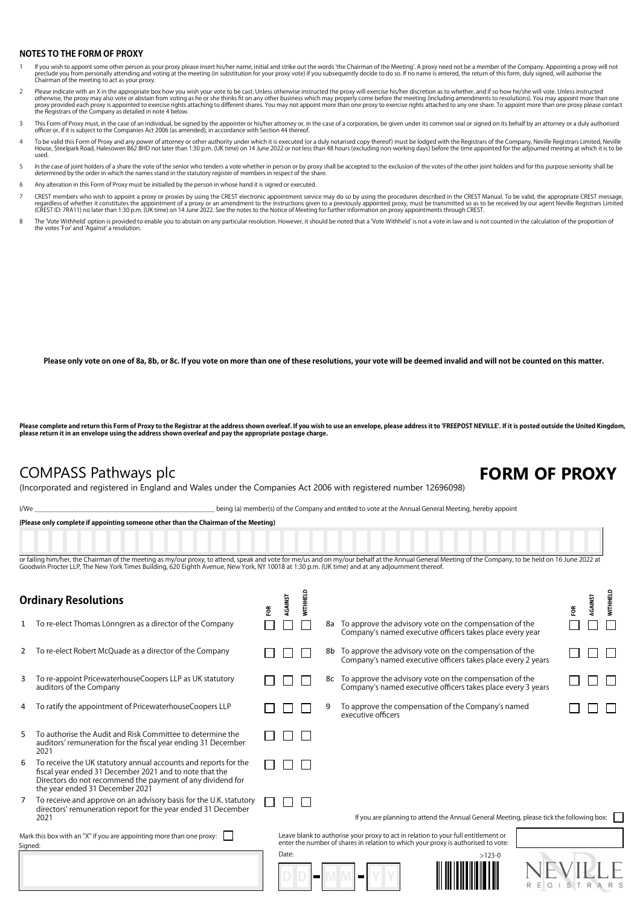### **NOTES TO THE FORM OF PROXY**

- lf you wish to appoint some other person as your proxy please insert his/her name, initial and strike out the words 'the Chairman of the Meeting'. A proxy need not be a member of the Company. Appointing a proxy will not th preclude you from personally accoming and v<br>Chairman of the meeting to act as your proxy.
- Please indicate with an X in the appropriate box how you wish your vote to be cast. Unless otherwise instructed the proxy will exercise his/her discretion as to whether, and if so how he/she will vote. Unless instructed<br>ot
- This Form of Proxy must, in the case of an individual, be signed by the appointer or his/her attorney or, in the case of a corporation, be given under its common seal or signed on its behalf by an attorney or a duly author
- To be valid this Form of Proxy and any power of attorney or other authority under which it is executed (or a duly notarised copy thereof) must be lodged with the Registrars of the Company, Neville Registrars Limited, Nevil used.
- In the case of joint holders of a share the vote of the senior who tenders a vote whether in person or by proxy shall be accepted to the exclusion of the votes of the other joint holders and for this purpose seniority shal
- 6 Any alteration in this Form of Proxy must be initialled by the person in whose hand it is signed or executed.
- CREST members who wish to appoint a proxy or proxies by using the CREST electronic appointment service may do so by using the procedures described in the CREST Manual. To be valid, the appropriate CREST message, regardless of whether it constitutes the appointment of a proxy or an amendment to the instructions given to a previously appointed proxy, must be transmitted so as to be received by our agent Neville Registrars Limited<br>(C
- The 'Vote Withheld' option is provided to enable you to abstain on any particular resolution. However, it should be noted that a 'Vote Withheld' is not a yote in law and is not counted in the calculation of the proportion the votes 'For' and 'Against' a resolution.

**Please only vote on one of 8a, 8b, or 8c. If you vote on more than one of these resolutions, your vote will be deemed invalid and will not be counted on this matter.**

**Please complete and return this Form of Proxy to the Registrar at the address shown overleaf. If you wish to use an envelope, please address it to 'FREEPOST NEVILLE'. If it is posted outside the United Kingdom, please return it in an envelope using the address shown overleaf and pay the appropriate postage charge.**

### COMPASS Pathways plc **FORM OF PROXY**

(Incorporated and registered in England and Wales under the Companies Act 2006 with registered number 12696098)

I/We state of the Company and entitled to vote at the Annual General Meeting, hereby appoint

**(Please only complete if appointing someone other than the Chairman of the Meeting)**

or failing him/her, the Chairman of the meeting as my/our proxy, to attend, speak and vote for me/us and on my/our behalf at the Annual General Meeting of the Company, to be held on 16 June 2022 at Goodwin Procter LLP, The New York Times Building, 620 Eighth Avenue, New York, NY 10018 at 1:30 p.m. (UK time) and at any adjournment thereor

| <b>Ordinary Resolutions</b>                                          |                                                                                                                                                                                                                             |   | <b>AGAINST</b> | WITHHELD |    |                                                                                                                            | ã | RGAINST | <b>WITHHELD</b> |
|----------------------------------------------------------------------|-----------------------------------------------------------------------------------------------------------------------------------------------------------------------------------------------------------------------------|---|----------------|----------|----|----------------------------------------------------------------------------------------------------------------------------|---|---------|-----------------|
| 1                                                                    | To re-elect Thomas Lönngren as a director of the Company                                                                                                                                                                    | Ĕ |                |          | 8a | To approve the advisory vote on the compensation of the<br>Company's named executive officers takes place every year       |   |         |                 |
| 2                                                                    | To re-elect Robert McQuade as a director of the Company                                                                                                                                                                     |   |                |          |    | 8b To approve the advisory vote on the compensation of the<br>Company's named executive officers takes place every 2 years |   |         |                 |
| 3                                                                    | To re-appoint PricewaterhouseCoopers LLP as UK statutory<br>auditors of the Company                                                                                                                                         |   |                |          | 8с | To approve the advisory vote on the compensation of the<br>Company's named executive officers takes place every 3 years    |   |         |                 |
| 4                                                                    | To ratify the appointment of PricewaterhouseCoopers LLP                                                                                                                                                                     |   |                |          | 9  | To approve the compensation of the Company's named<br>executive officers                                                   |   |         |                 |
| 5                                                                    | To authorise the Audit and Risk Committee to determine the<br>auditors' remuneration for the fiscal year ending 31 December<br>2021                                                                                         |   |                |          |    |                                                                                                                            |   |         |                 |
| 6                                                                    | To receive the UK statutory annual accounts and reports for the<br>fiscal year ended 31 December 2021 and to note that the<br>Directors do not recommend the payment of any dividend for<br>the year ended 31 December 2021 |   |                |          |    |                                                                                                                            |   |         |                 |
| 7                                                                    | To receive and approve on an advisory basis for the U.K. statutory<br>directors' remuneration report for the year ended 31 December<br>2021                                                                                 |   |                |          |    | If you are planning to attend the Annual General Meeting, please tick the following box:                                   |   |         |                 |
| Mark this box with an "X" if you are appointing more than one proxy: |                                                                                                                                                                                                                             |   |                |          |    | Leave blank to authorise your proxy to act in relation to your full entitlement or                                         |   |         |                 |
| Signed:                                                              |                                                                                                                                                                                                                             |   |                |          |    | enter the number of shares in relation to which your proxy is authorised to vote:                                          |   |         |                 |
|                                                                      |                                                                                                                                                                                                                             |   | Date:          |          |    | $>123-0$<br>▄<br>R<br>G                                                                                                    |   |         |                 |